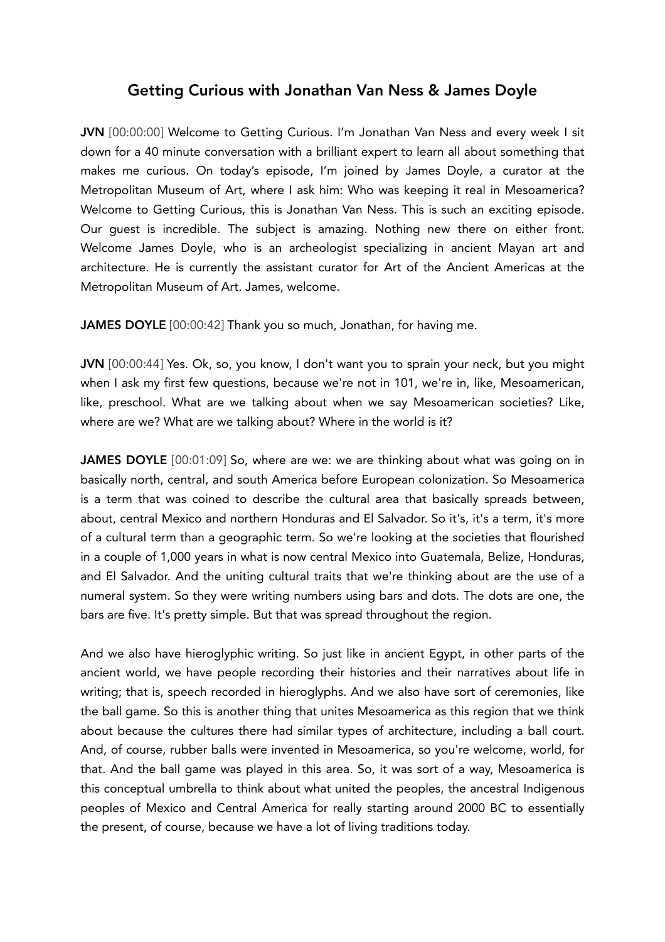## Getting Curious with Jonathan Van Ness & James Doyle

JVN [00:00:00] Welcome to Getting Curious. I'm Jonathan Van Ness and every week I sit down for a 40 minute conversation with a brilliant expert to learn all about something that makes me curious. On today's episode, I'm joined by James Doyle, a curator at the Metropolitan Museum of Art, where I ask him: Who was keeping it real in Mesoamerica? Welcome to Getting Curious, this is Jonathan Van Ness. This is such an exciting episode. Our guest is incredible. The subject is amazing. Nothing new there on either front. Welcome James Doyle, who is an archeologist specializing in ancient Mayan art and architecture. He is currently the assistant curator for Art of the Ancient Americas at the Metropolitan Museum of Art. James, welcome.

JAMES DOYLE [00:00:42] Thank you so much, Jonathan, for having me.

JVN [00:00:44] Yes. Ok, so, you know, I don't want you to sprain your neck, but you might when I ask my first few questions, because we're not in 101, we're in, like, Mesoamerican, like, preschool. What are we talking about when we say Mesoamerican societies? Like, where are we? What are we talking about? Where in the world is it?

JAMES DOYLE [00:01:09] So, where are we: we are thinking about what was going on in basically north, central, and south America before European colonization. So Mesoamerica is a term that was coined to describe the cultural area that basically spreads between, about, central Mexico and northern Honduras and El Salvador. So it's, it's a term, it's more of a cultural term than a geographic term. So we're looking at the societies that flourished in a couple of 1,000 years in what is now central Mexico into Guatemala, Belize, Honduras, and El Salvador. And the uniting cultural traits that we're thinking about are the use of a numeral system. So they were writing numbers using bars and dots. The dots are one, the bars are five. It's pretty simple. But that was spread throughout the region.

And we also have hieroglyphic writing. So just like in ancient Egypt, in other parts of the ancient world, we have people recording their histories and their narratives about life in writing; that is, speech recorded in hieroglyphs. And we also have sort of ceremonies, like the ball game. So this is another thing that unites Mesoamerica as this region that we think about because the cultures there had similar types of architecture, including a ball court. And, of course, rubber balls were invented in Mesoamerica, so you're welcome, world, for that. And the ball game was played in this area. So, it was sort of a way, Mesoamerica is this conceptual umbrella to think about what united the peoples, the ancestral Indigenous peoples of Mexico and Central America for really starting around 2000 BC to essentially the present, of course, because we have a lot of living traditions today.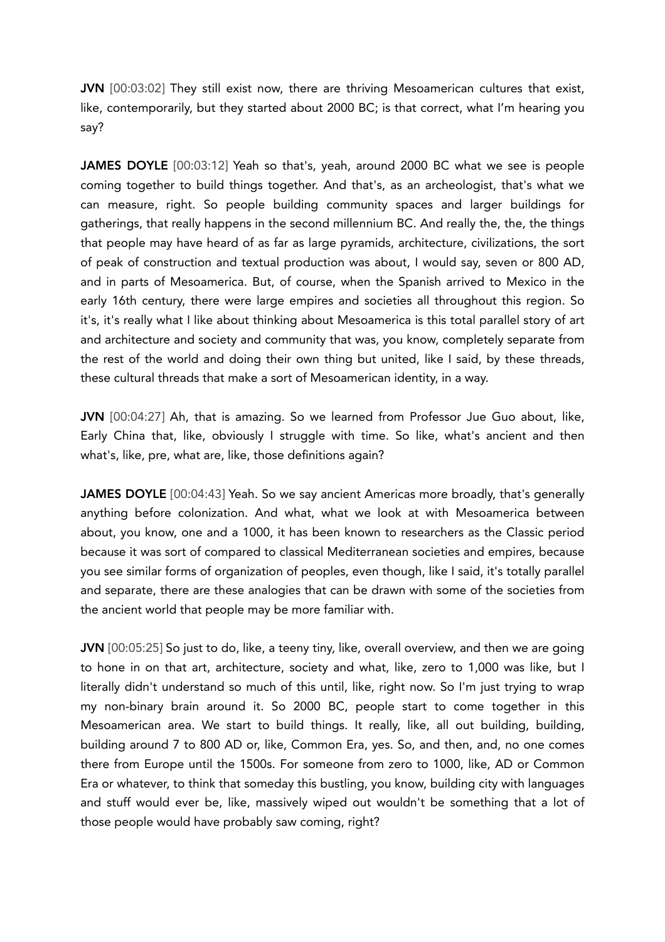JVN [00:03:02] They still exist now, there are thriving Mesoamerican cultures that exist, like, contemporarily, but they started about 2000 BC; is that correct, what I'm hearing you say?

**JAMES DOYLE** [00:03:12] Yeah so that's, yeah, around 2000 BC what we see is people coming together to build things together. And that's, as an archeologist, that's what we can measure, right. So people building community spaces and larger buildings for gatherings, that really happens in the second millennium BC. And really the, the, the things that people may have heard of as far as large pyramids, architecture, civilizations, the sort of peak of construction and textual production was about, I would say, seven or 800 AD, and in parts of Mesoamerica. But, of course, when the Spanish arrived to Mexico in the early 16th century, there were large empires and societies all throughout this region. So it's, it's really what I like about thinking about Mesoamerica is this total parallel story of art and architecture and society and community that was, you know, completely separate from the rest of the world and doing their own thing but united, like I said, by these threads, these cultural threads that make a sort of Mesoamerican identity, in a way.

JVN [00:04:27] Ah, that is amazing. So we learned from Professor Jue Guo about, like, Early China that, like, obviously I struggle with time. So like, what's ancient and then what's, like, pre, what are, like, those definitions again?

**JAMES DOYLE** [00:04:43] Yeah. So we say ancient Americas more broadly, that's generally anything before colonization. And what, what we look at with Mesoamerica between about, you know, one and a 1000, it has been known to researchers as the Classic period because it was sort of compared to classical Mediterranean societies and empires, because you see similar forms of organization of peoples, even though, like I said, it's totally parallel and separate, there are these analogies that can be drawn with some of the societies from the ancient world that people may be more familiar with.

JVN [00:05:25] So just to do, like, a teeny tiny, like, overall overview, and then we are going to hone in on that art, architecture, society and what, like, zero to 1,000 was like, but I literally didn't understand so much of this until, like, right now. So I'm just trying to wrap my non-binary brain around it. So 2000 BC, people start to come together in this Mesoamerican area. We start to build things. It really, like, all out building, building, building around 7 to 800 AD or, like, Common Era, yes. So, and then, and, no one comes there from Europe until the 1500s. For someone from zero to 1000, like, AD or Common Era or whatever, to think that someday this bustling, you know, building city with languages and stuff would ever be, like, massively wiped out wouldn't be something that a lot of those people would have probably saw coming, right?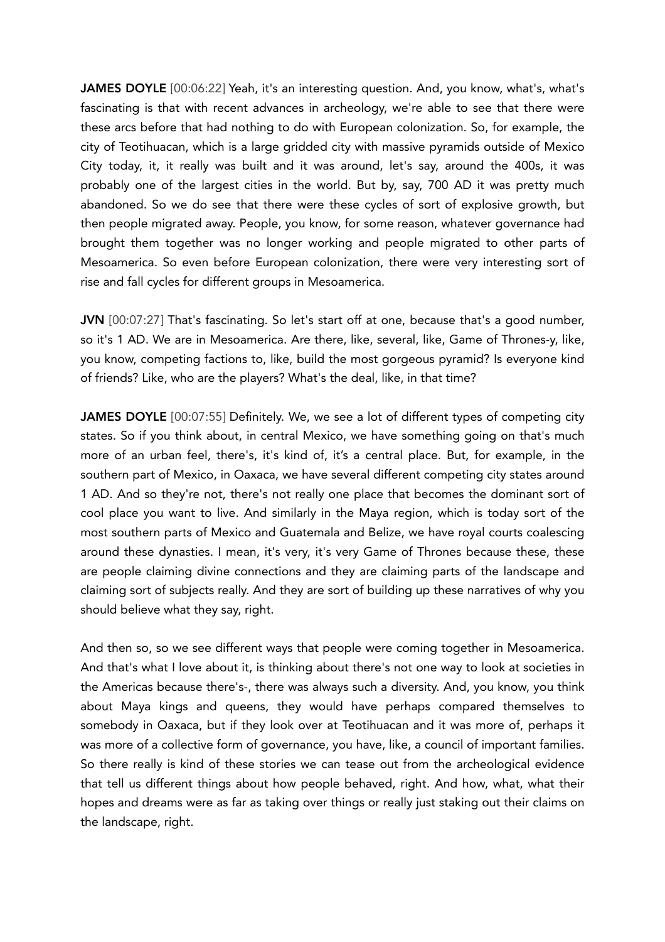JAMES DOYLE [00:06:22] Yeah, it's an interesting question. And, you know, what's, what's fascinating is that with recent advances in archeology, we're able to see that there were these arcs before that had nothing to do with European colonization. So, for example, the city of Teotihuacan, which is a large gridded city with massive pyramids outside of Mexico City today, it, it really was built and it was around, let's say, around the 400s, it was probably one of the largest cities in the world. But by, say, 700 AD it was pretty much abandoned. So we do see that there were these cycles of sort of explosive growth, but then people migrated away. People, you know, for some reason, whatever governance had brought them together was no longer working and people migrated to other parts of Mesoamerica. So even before European colonization, there were very interesting sort of rise and fall cycles for different groups in Mesoamerica.

JVN [00:07:27] That's fascinating. So let's start off at one, because that's a good number, so it's 1 AD. We are in Mesoamerica. Are there, like, several, like, Game of Thrones-y, like, you know, competing factions to, like, build the most gorgeous pyramid? Is everyone kind of friends? Like, who are the players? What's the deal, like, in that time?

JAMES DOYLE [00:07:55] Definitely. We, we see a lot of different types of competing city states. So if you think about, in central Mexico, we have something going on that's much more of an urban feel, there's, it's kind of, it's a central place. But, for example, in the southern part of Mexico, in Oaxaca, we have several different competing city states around 1 AD. And so they're not, there's not really one place that becomes the dominant sort of cool place you want to live. And similarly in the Maya region, which is today sort of the most southern parts of Mexico and Guatemala and Belize, we have royal courts coalescing around these dynasties. I mean, it's very, it's very Game of Thrones because these, these are people claiming divine connections and they are claiming parts of the landscape and claiming sort of subjects really. And they are sort of building up these narratives of why you should believe what they say, right.

And then so, so we see different ways that people were coming together in Mesoamerica. And that's what I love about it, is thinking about there's not one way to look at societies in the Americas because there's-, there was always such a diversity. And, you know, you think about Maya kings and queens, they would have perhaps compared themselves to somebody in Oaxaca, but if they look over at Teotihuacan and it was more of, perhaps it was more of a collective form of governance, you have, like, a council of important families. So there really is kind of these stories we can tease out from the archeological evidence that tell us different things about how people behaved, right. And how, what, what their hopes and dreams were as far as taking over things or really just staking out their claims on the landscape, right.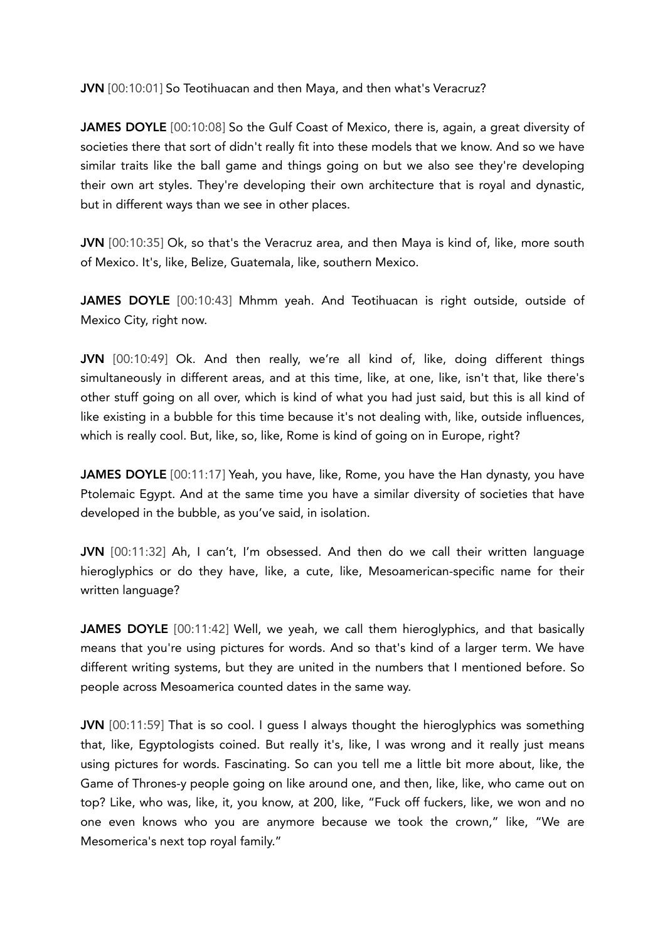JVN [00:10:01] So Teotihuacan and then Maya, and then what's Veracruz?

JAMES DOYLE [00:10:08] So the Gulf Coast of Mexico, there is, again, a great diversity of societies there that sort of didn't really fit into these models that we know. And so we have similar traits like the ball game and things going on but we also see they're developing their own art styles. They're developing their own architecture that is royal and dynastic, but in different ways than we see in other places.

JVN [00:10:35] Ok, so that's the Veracruz area, and then Maya is kind of, like, more south of Mexico. It's, like, Belize, Guatemala, like, southern Mexico.

JAMES DOYLE [00:10:43] Mhmm yeah. And Teotihuacan is right outside, outside of Mexico City, right now.

JVN [00:10:49] Ok. And then really, we're all kind of, like, doing different things simultaneously in different areas, and at this time, like, at one, like, isn't that, like there's other stuff going on all over, which is kind of what you had just said, but this is all kind of like existing in a bubble for this time because it's not dealing with, like, outside influences, which is really cool. But, like, so, like, Rome is kind of going on in Europe, right?

JAMES DOYLE [00:11:17] Yeah, you have, like, Rome, you have the Han dynasty, you have Ptolemaic Egypt. And at the same time you have a similar diversity of societies that have developed in the bubble, as you've said, in isolation.

JVN [00:11:32] Ah, I can't, I'm obsessed. And then do we call their written language hieroglyphics or do they have, like, a cute, like, Mesoamerican-specific name for their written language?

JAMES DOYLE [00:11:42] Well, we yeah, we call them hieroglyphics, and that basically means that you're using pictures for words. And so that's kind of a larger term. We have different writing systems, but they are united in the numbers that I mentioned before. So people across Mesoamerica counted dates in the same way.

JVN [00:11:59] That is so cool. I guess I always thought the hieroglyphics was something that, like, Egyptologists coined. But really it's, like, I was wrong and it really just means using pictures for words. Fascinating. So can you tell me a little bit more about, like, the Game of Thrones-y people going on like around one, and then, like, like, who came out on top? Like, who was, like, it, you know, at 200, like, "Fuck off fuckers, like, we won and no one even knows who you are anymore because we took the crown," like, "We are Mesomerica's next top royal family."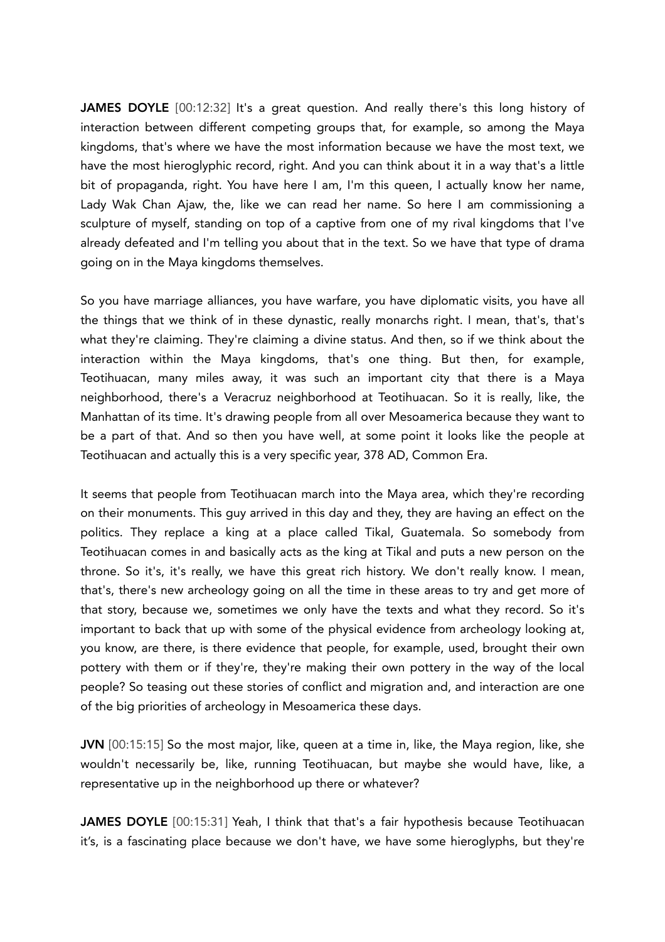JAMES DOYLE [00:12:32] It's a great question. And really there's this long history of interaction between different competing groups that, for example, so among the Maya kingdoms, that's where we have the most information because we have the most text, we have the most hieroglyphic record, right. And you can think about it in a way that's a little bit of propaganda, right. You have here I am, I'm this queen, I actually know her name, Lady Wak Chan Ajaw, the, like we can read her name. So here I am commissioning a sculpture of myself, standing on top of a captive from one of my rival kingdoms that I've already defeated and I'm telling you about that in the text. So we have that type of drama going on in the Maya kingdoms themselves.

So you have marriage alliances, you have warfare, you have diplomatic visits, you have all the things that we think of in these dynastic, really monarchs right. I mean, that's, that's what they're claiming. They're claiming a divine status. And then, so if we think about the interaction within the Maya kingdoms, that's one thing. But then, for example, Teotihuacan, many miles away, it was such an important city that there is a Maya neighborhood, there's a Veracruz neighborhood at Teotihuacan. So it is really, like, the Manhattan of its time. It's drawing people from all over Mesoamerica because they want to be a part of that. And so then you have well, at some point it looks like the people at Teotihuacan and actually this is a very specific year, 378 AD, Common Era.

It seems that people from Teotihuacan march into the Maya area, which they're recording on their monuments. This guy arrived in this day and they, they are having an effect on the politics. They replace a king at a place called Tikal, Guatemala. So somebody from Teotihuacan comes in and basically acts as the king at Tikal and puts a new person on the throne. So it's, it's really, we have this great rich history. We don't really know. I mean, that's, there's new archeology going on all the time in these areas to try and get more of that story, because we, sometimes we only have the texts and what they record. So it's important to back that up with some of the physical evidence from archeology looking at, you know, are there, is there evidence that people, for example, used, brought their own pottery with them or if they're, they're making their own pottery in the way of the local people? So teasing out these stories of conflict and migration and, and interaction are one of the big priorities of archeology in Mesoamerica these days.

JVN [00:15:15] So the most major, like, queen at a time in, like, the Maya region, like, she wouldn't necessarily be, like, running Teotihuacan, but maybe she would have, like, a representative up in the neighborhood up there or whatever?

JAMES DOYLE [00:15:31] Yeah, I think that that's a fair hypothesis because Teotihuacan it's, is a fascinating place because we don't have, we have some hieroglyphs, but they're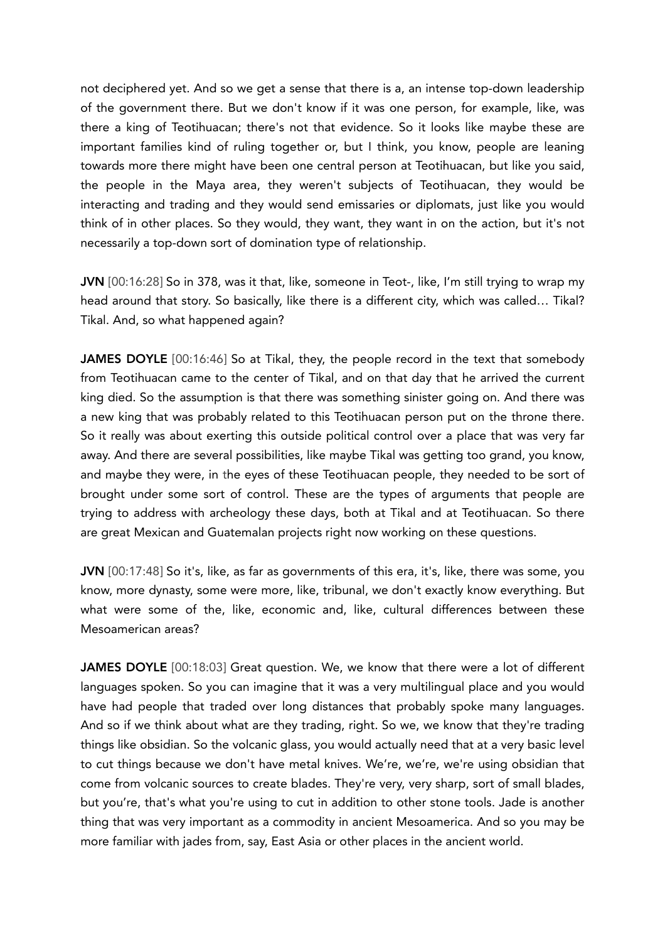not deciphered yet. And so we get a sense that there is a, an intense top-down leadership of the government there. But we don't know if it was one person, for example, like, was there a king of Teotihuacan; there's not that evidence. So it looks like maybe these are important families kind of ruling together or, but I think, you know, people are leaning towards more there might have been one central person at Teotihuacan, but like you said, the people in the Maya area, they weren't subjects of Teotihuacan, they would be interacting and trading and they would send emissaries or diplomats, just like you would think of in other places. So they would, they want, they want in on the action, but it's not necessarily a top-down sort of domination type of relationship.

JVN [00:16:28] So in 378, was it that, like, someone in Teot-, like, I'm still trying to wrap my head around that story. So basically, like there is a different city, which was called… Tikal? Tikal. And, so what happened again?

JAMES DOYLE [00:16:46] So at Tikal, they, the people record in the text that somebody from Teotihuacan came to the center of Tikal, and on that day that he arrived the current king died. So the assumption is that there was something sinister going on. And there was a new king that was probably related to this Teotihuacan person put on the throne there. So it really was about exerting this outside political control over a place that was very far away. And there are several possibilities, like maybe Tikal was getting too grand, you know, and maybe they were, in the eyes of these Teotihuacan people, they needed to be sort of brought under some sort of control. These are the types of arguments that people are trying to address with archeology these days, both at Tikal and at Teotihuacan. So there are great Mexican and Guatemalan projects right now working on these questions.

JVN [00:17:48] So it's, like, as far as governments of this era, it's, like, there was some, you know, more dynasty, some were more, like, tribunal, we don't exactly know everything. But what were some of the, like, economic and, like, cultural differences between these Mesoamerican areas?

JAMES DOYLE [00:18:03] Great question. We, we know that there were a lot of different languages spoken. So you can imagine that it was a very multilingual place and you would have had people that traded over long distances that probably spoke many languages. And so if we think about what are they trading, right. So we, we know that they're trading things like obsidian. So the volcanic glass, you would actually need that at a very basic level to cut things because we don't have metal knives. We're, we're, we're using obsidian that come from volcanic sources to create blades. They're very, very sharp, sort of small blades, but you're, that's what you're using to cut in addition to other stone tools. Jade is another thing that was very important as a commodity in ancient Mesoamerica. And so you may be more familiar with jades from, say, East Asia or other places in the ancient world.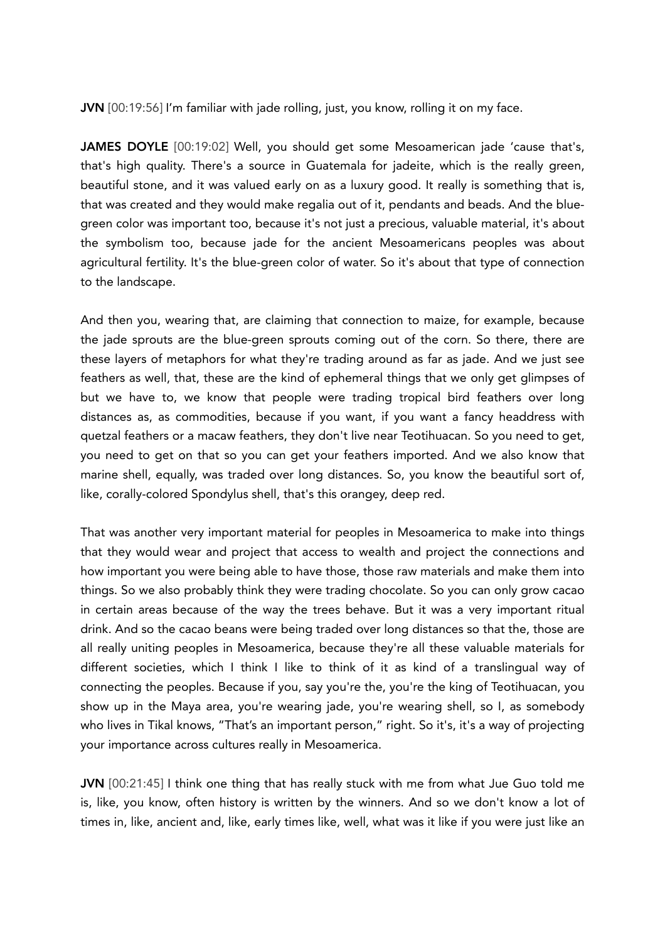JVN [00:19:56] I'm familiar with jade rolling, just, you know, rolling it on my face.

JAMES DOYLE [00:19:02] Well, you should get some Mesoamerican jade 'cause that's, that's high quality. There's a source in Guatemala for jadeite, which is the really green, beautiful stone, and it was valued early on as a luxury good. It really is something that is, that was created and they would make regalia out of it, pendants and beads. And the bluegreen color was important too, because it's not just a precious, valuable material, it's about the symbolism too, because jade for the ancient Mesoamericans peoples was about agricultural fertility. It's the blue-green color of water. So it's about that type of connection to the landscape.

And then you, wearing that, are claiming that connection to maize, for example, because the jade sprouts are the blue-green sprouts coming out of the corn. So there, there are these layers of metaphors for what they're trading around as far as jade. And we just see feathers as well, that, these are the kind of ephemeral things that we only get glimpses of but we have to, we know that people were trading tropical bird feathers over long distances as, as commodities, because if you want, if you want a fancy headdress with quetzal feathers or a macaw feathers, they don't live near Teotihuacan. So you need to get, you need to get on that so you can get your feathers imported. And we also know that marine shell, equally, was traded over long distances. So, you know the beautiful sort of, like, corally-colored Spondylus shell, that's this orangey, deep red.

That was another very important material for peoples in Mesoamerica to make into things that they would wear and project that access to wealth and project the connections and how important you were being able to have those, those raw materials and make them into things. So we also probably think they were trading chocolate. So you can only grow cacao in certain areas because of the way the trees behave. But it was a very important ritual drink. And so the cacao beans were being traded over long distances so that the, those are all really uniting peoples in Mesoamerica, because they're all these valuable materials for different societies, which I think I like to think of it as kind of a translingual way of connecting the peoples. Because if you, say you're the, you're the king of Teotihuacan, you show up in the Maya area, you're wearing jade, you're wearing shell, so I, as somebody who lives in Tikal knows, "That's an important person," right. So it's, it's a way of projecting your importance across cultures really in Mesoamerica.

JVN [00:21:45] I think one thing that has really stuck with me from what Jue Guo told me is, like, you know, often history is written by the winners. And so we don't know a lot of times in, like, ancient and, like, early times like, well, what was it like if you were just like an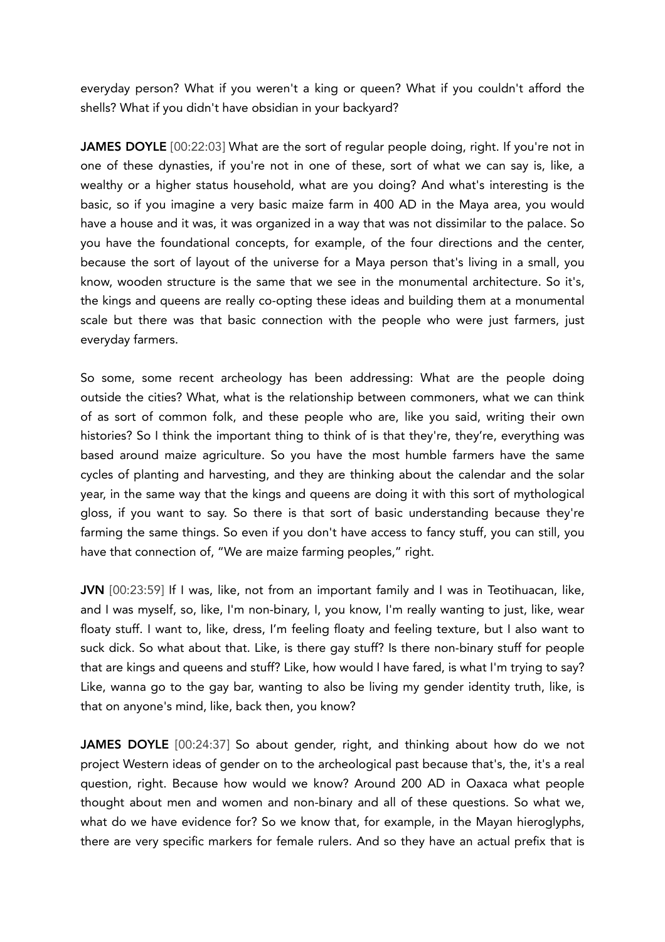everyday person? What if you weren't a king or queen? What if you couldn't afford the shells? What if you didn't have obsidian in your backyard?

JAMES DOYLE [00:22:03] What are the sort of regular people doing, right. If you're not in one of these dynasties, if you're not in one of these, sort of what we can say is, like, a wealthy or a higher status household, what are you doing? And what's interesting is the basic, so if you imagine a very basic maize farm in 400 AD in the Maya area, you would have a house and it was, it was organized in a way that was not dissimilar to the palace. So you have the foundational concepts, for example, of the four directions and the center, because the sort of layout of the universe for a Maya person that's living in a small, you know, wooden structure is the same that we see in the monumental architecture. So it's, the kings and queens are really co-opting these ideas and building them at a monumental scale but there was that basic connection with the people who were just farmers, just everyday farmers.

So some, some recent archeology has been addressing: What are the people doing outside the cities? What, what is the relationship between commoners, what we can think of as sort of common folk, and these people who are, like you said, writing their own histories? So I think the important thing to think of is that they're, they're, everything was based around maize agriculture. So you have the most humble farmers have the same cycles of planting and harvesting, and they are thinking about the calendar and the solar year, in the same way that the kings and queens are doing it with this sort of mythological gloss, if you want to say. So there is that sort of basic understanding because they're farming the same things. So even if you don't have access to fancy stuff, you can still, you have that connection of, "We are maize farming peoples," right.

JVN [00:23:59] If I was, like, not from an important family and I was in Teotihuacan, like, and I was myself, so, like, I'm non-binary, I, you know, I'm really wanting to just, like, wear floaty stuff. I want to, like, dress, I'm feeling floaty and feeling texture, but I also want to suck dick. So what about that. Like, is there gay stuff? Is there non-binary stuff for people that are kings and queens and stuff? Like, how would I have fared, is what I'm trying to say? Like, wanna go to the gay bar, wanting to also be living my gender identity truth, like, is that on anyone's mind, like, back then, you know?

JAMES DOYLE [00:24:37] So about gender, right, and thinking about how do we not project Western ideas of gender on to the archeological past because that's, the, it's a real question, right. Because how would we know? Around 200 AD in Oaxaca what people thought about men and women and non-binary and all of these questions. So what we, what do we have evidence for? So we know that, for example, in the Mayan hieroglyphs, there are very specific markers for female rulers. And so they have an actual prefix that is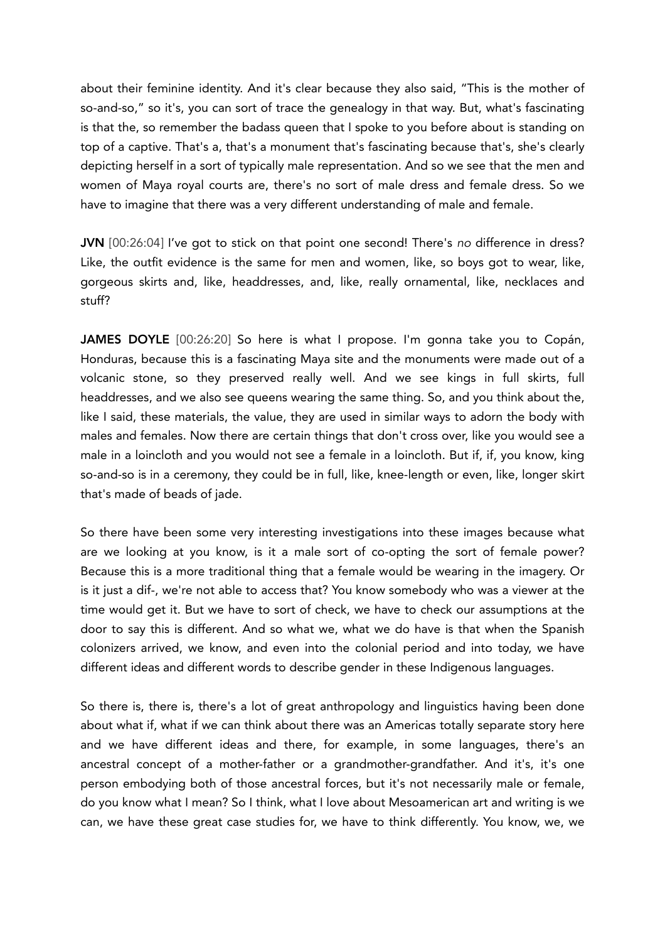about their feminine identity. And it's clear because they also said, "This is the mother of so-and-so," so it's, you can sort of trace the genealogy in that way. But, what's fascinating is that the, so remember the badass queen that I spoke to you before about is standing on top of a captive. That's a, that's a monument that's fascinating because that's, she's clearly depicting herself in a sort of typically male representation. And so we see that the men and women of Maya royal courts are, there's no sort of male dress and female dress. So we have to imagine that there was a very different understanding of male and female.

JVN [00:26:04] I've got to stick on that point one second! There's *no* difference in dress? Like, the outfit evidence is the same for men and women, like, so boys got to wear, like, gorgeous skirts and, like, headdresses, and, like, really ornamental, like, necklaces and stuff?

JAMES DOYLE [00:26:20] So here is what I propose. I'm gonna take you to Copán, Honduras, because this is a fascinating Maya site and the monuments were made out of a volcanic stone, so they preserved really well. And we see kings in full skirts, full headdresses, and we also see queens wearing the same thing. So, and you think about the, like I said, these materials, the value, they are used in similar ways to adorn the body with males and females. Now there are certain things that don't cross over, like you would see a male in a loincloth and you would not see a female in a loincloth. But if, if, you know, king so-and-so is in a ceremony, they could be in full, like, knee-length or even, like, longer skirt that's made of beads of jade.

So there have been some very interesting investigations into these images because what are we looking at you know, is it a male sort of co-opting the sort of female power? Because this is a more traditional thing that a female would be wearing in the imagery. Or is it just a dif-, we're not able to access that? You know somebody who was a viewer at the time would get it. But we have to sort of check, we have to check our assumptions at the door to say this is different. And so what we, what we do have is that when the Spanish colonizers arrived, we know, and even into the colonial period and into today, we have different ideas and different words to describe gender in these Indigenous languages.

So there is, there is, there's a lot of great anthropology and linguistics having been done about what if, what if we can think about there was an Americas totally separate story here and we have different ideas and there, for example, in some languages, there's an ancestral concept of a mother-father or a grandmother-grandfather. And it's, it's one person embodying both of those ancestral forces, but it's not necessarily male or female, do you know what I mean? So I think, what I love about Mesoamerican art and writing is we can, we have these great case studies for, we have to think differently. You know, we, we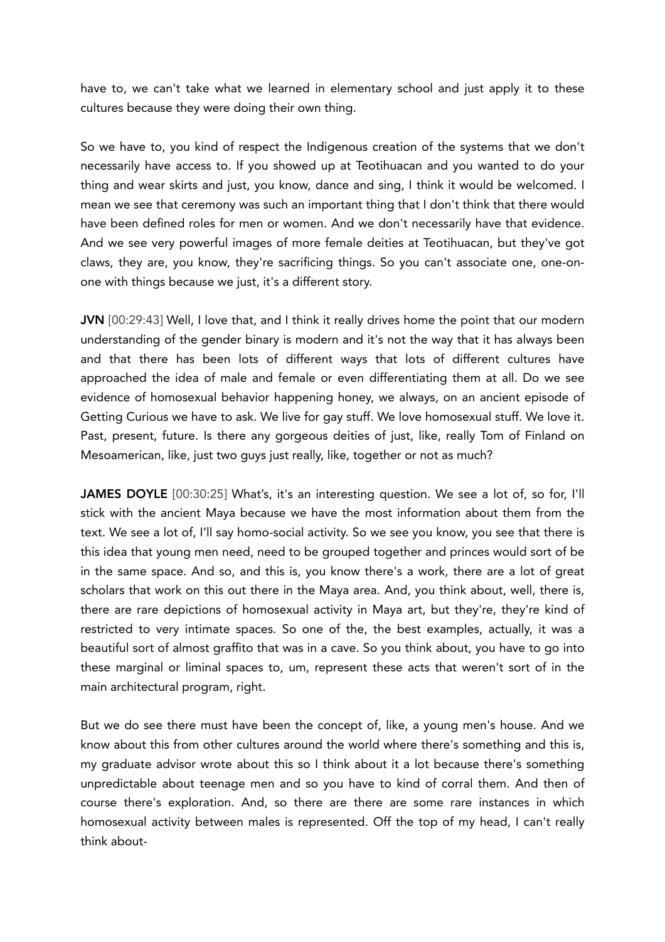have to, we can't take what we learned in elementary school and just apply it to these cultures because they were doing their own thing.

So we have to, you kind of respect the Indigenous creation of the systems that we don't necessarily have access to. If you showed up at Teotihuacan and you wanted to do your thing and wear skirts and just, you know, dance and sing, I think it would be welcomed. I mean we see that ceremony was such an important thing that I don't think that there would have been defined roles for men or women. And we don't necessarily have that evidence. And we see very powerful images of more female deities at Teotihuacan, but they've got claws, they are, you know, they're sacrificing things. So you can't associate one, one-onone with things because we just, it's a different story.

JVN [00:29:43] Well, I love that, and I think it really drives home the point that our modern understanding of the gender binary is modern and it's not the way that it has always been and that there has been lots of different ways that lots of different cultures have approached the idea of male and female or even differentiating them at all. Do we see evidence of homosexual behavior happening honey, we always, on an ancient episode of Getting Curious we have to ask. We live for gay stuff. We love homosexual stuff. We love it. Past, present, future. Is there any gorgeous deities of just, like, really Tom of Finland on Mesoamerican, like, just two guys just really, like, together or not as much?

JAMES DOYLE [00:30:25] What's, it's an interesting question. We see a lot of, so for, I'll stick with the ancient Maya because we have the most information about them from the text. We see a lot of, I'll say homo-social activity. So we see you know, you see that there is this idea that young men need, need to be grouped together and princes would sort of be in the same space. And so, and this is, you know there's a work, there are a lot of great scholars that work on this out there in the Maya area. And, you think about, well, there is, there are rare depictions of homosexual activity in Maya art, but they're, they're kind of restricted to very intimate spaces. So one of the, the best examples, actually, it was a beautiful sort of almost graffito that was in a cave. So you think about, you have to go into these marginal or liminal spaces to, um, represent these acts that weren't sort of in the main architectural program, right.

But we do see there must have been the concept of, like, a young men's house. And we know about this from other cultures around the world where there's something and this is, my graduate advisor wrote about this so I think about it a lot because there's something unpredictable about teenage men and so you have to kind of corral them. And then of course there's exploration. And, so there are there are some rare instances in which homosexual activity between males is represented. Off the top of my head, I can't really think about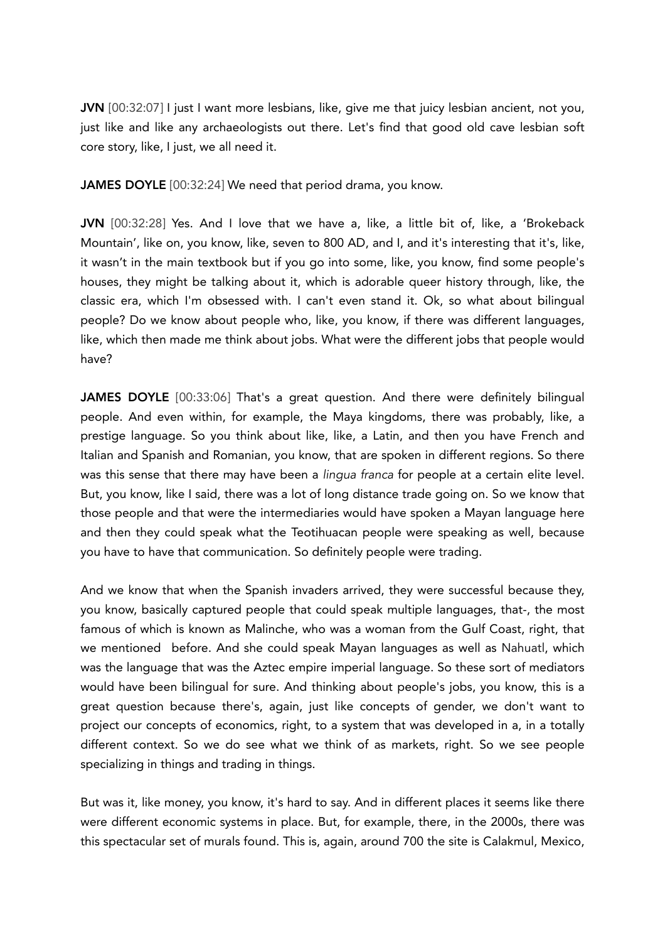JVN [00:32:07] I just I want more lesbians, like, give me that juicy lesbian ancient, not you, just like and like any archaeologists out there. Let's find that good old cave lesbian soft core story, like, I just, we all need it.

JAMES DOYLE [00:32:24] We need that period drama, you know.

JVN [00:32:28] Yes. And I love that we have a, like, a little bit of, like, a 'Brokeback Mountain', like on, you know, like, seven to 800 AD, and I, and it's interesting that it's, like, it wasn't in the main textbook but if you go into some, like, you know, find some people's houses, they might be talking about it, which is adorable queer history through, like, the classic era, which I'm obsessed with. I can't even stand it. Ok, so what about bilingual people? Do we know about people who, like, you know, if there was different languages, like, which then made me think about jobs. What were the different jobs that people would have?

JAMES DOYLE [00:33:06] That's a great question. And there were definitely bilingual people. And even within, for example, the Maya kingdoms, there was probably, like, a prestige language. So you think about like, like, a Latin, and then you have French and Italian and Spanish and Romanian, you know, that are spoken in different regions. So there was this sense that there may have been a *lingua franca* for people at a certain elite level. But, you know, like I said, there was a lot of long distance trade going on. So we know that those people and that were the intermediaries would have spoken a Mayan language here and then they could speak what the Teotihuacan people were speaking as well, because you have to have that communication. So definitely people were trading.

And we know that when the Spanish invaders arrived, they were successful because they, you know, basically captured people that could speak multiple languages, that-, the most famous of which is known as Malinche, who was a woman from the Gulf Coast, right, that we mentioned before. And she could speak Mayan languages as well as Nahuatl, which was the language that was the Aztec empire imperial language. So these sort of mediators would have been bilingual for sure. And thinking about people's jobs, you know, this is a great question because there's, again, just like concepts of gender, we don't want to project our concepts of economics, right, to a system that was developed in a, in a totally different context. So we do see what we think of as markets, right. So we see people specializing in things and trading in things.

But was it, like money, you know, it's hard to say. And in different places it seems like there were different economic systems in place. But, for example, there, in the 2000s, there was this spectacular set of murals found. This is, again, around 700 the site is Calakmul, Mexico,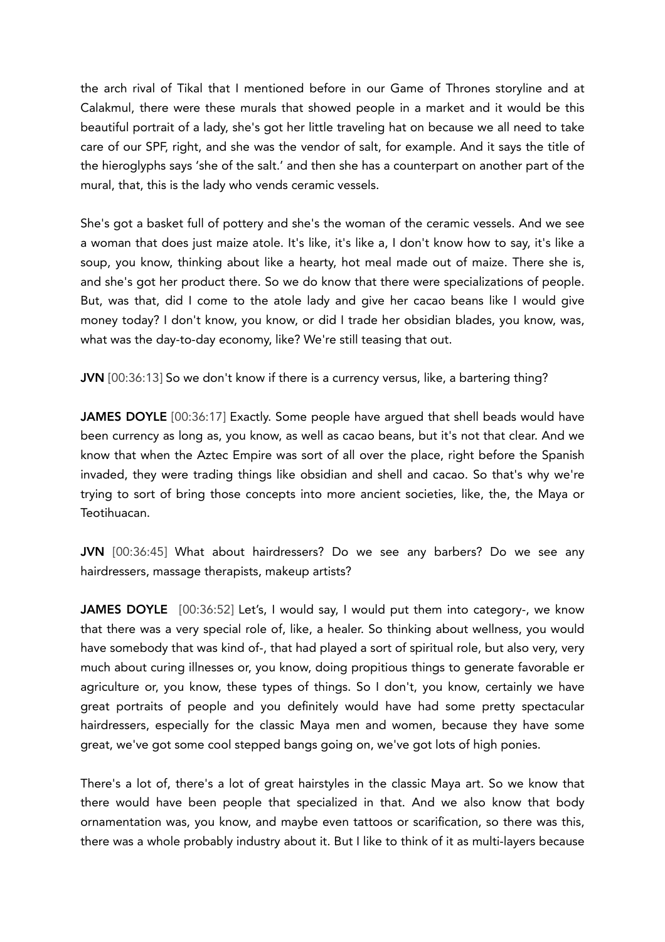the arch rival of Tikal that I mentioned before in our Game of Thrones storyline and at Calakmul, there were these murals that showed people in a market and it would be this beautiful portrait of a lady, she's got her little traveling hat on because we all need to take care of our SPF, right, and she was the vendor of salt, for example. And it says the title of the hieroglyphs says 'she of the salt.' and then she has a counterpart on another part of the mural, that, this is the lady who vends ceramic vessels.

She's got a basket full of pottery and she's the woman of the ceramic vessels. And we see a woman that does just maize atole. It's like, it's like a, I don't know how to say, it's like a soup, you know, thinking about like a hearty, hot meal made out of maize. There she is, and she's got her product there. So we do know that there were specializations of people. But, was that, did I come to the atole lady and give her cacao beans like I would give money today? I don't know, you know, or did I trade her obsidian blades, you know, was, what was the day-to-day economy, like? We're still teasing that out.

JVN [00:36:13] So we don't know if there is a currency versus, like, a bartering thing?

JAMES DOYLE [00:36:17] Exactly. Some people have arqued that shell beads would have been currency as long as, you know, as well as cacao beans, but it's not that clear. And we know that when the Aztec Empire was sort of all over the place, right before the Spanish invaded, they were trading things like obsidian and shell and cacao. So that's why we're trying to sort of bring those concepts into more ancient societies, like, the, the Maya or Teotihuacan.

JVN [00:36:45] What about hairdressers? Do we see any barbers? Do we see any hairdressers, massage therapists, makeup artists?

JAMES DOYLE [00:36:52] Let's, I would say, I would put them into category-, we know that there was a very special role of, like, a healer. So thinking about wellness, you would have somebody that was kind of-, that had played a sort of spiritual role, but also very, very much about curing illnesses or, you know, doing propitious things to generate favorable er agriculture or, you know, these types of things. So I don't, you know, certainly we have great portraits of people and you definitely would have had some pretty spectacular hairdressers, especially for the classic Maya men and women, because they have some great, we've got some cool stepped bangs going on, we've got lots of high ponies.

There's a lot of, there's a lot of great hairstyles in the classic Maya art. So we know that there would have been people that specialized in that. And we also know that body ornamentation was, you know, and maybe even tattoos or scarification, so there was this, there was a whole probably industry about it. But I like to think of it as multi-layers because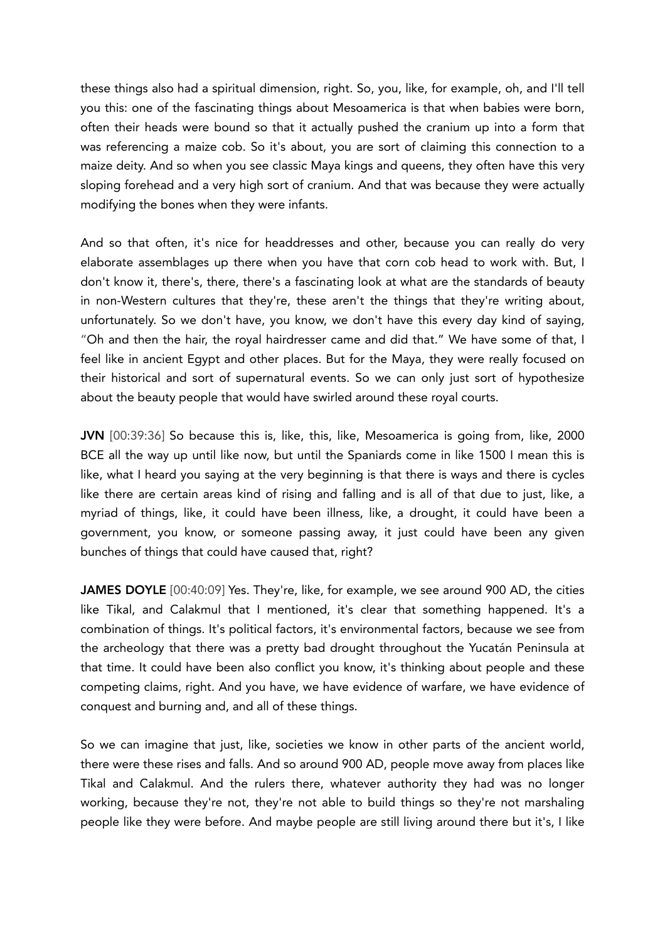these things also had a spiritual dimension, right. So, you, like, for example, oh, and I'll tell you this: one of the fascinating things about Mesoamerica is that when babies were born, often their heads were bound so that it actually pushed the cranium up into a form that was referencing a maize cob. So it's about, you are sort of claiming this connection to a maize deity. And so when you see classic Maya kings and queens, they often have this very sloping forehead and a very high sort of cranium. And that was because they were actually modifying the bones when they were infants.

And so that often, it's nice for headdresses and other, because you can really do very elaborate assemblages up there when you have that corn cob head to work with. But, I don't know it, there's, there, there's a fascinating look at what are the standards of beauty in non-Western cultures that they're, these aren't the things that they're writing about, unfortunately. So we don't have, you know, we don't have this every day kind of saying, "Oh and then the hair, the royal hairdresser came and did that." We have some of that, I feel like in ancient Egypt and other places. But for the Maya, they were really focused on their historical and sort of supernatural events. So we can only just sort of hypothesize about the beauty people that would have swirled around these royal courts.

JVN [00:39:36] So because this is, like, this, like, Mesoamerica is going from, like, 2000 BCE all the way up until like now, but until the Spaniards come in like 1500 I mean this is like, what I heard you saying at the very beginning is that there is ways and there is cycles like there are certain areas kind of rising and falling and is all of that due to just, like, a myriad of things, like, it could have been illness, like, a drought, it could have been a government, you know, or someone passing away, it just could have been any given bunches of things that could have caused that, right?

JAMES DOYLE [00:40:09] Yes. They're, like, for example, we see around 900 AD, the cities like Tikal, and Calakmul that I mentioned, it's clear that something happened. It's a combination of things. It's political factors, it's environmental factors, because we see from the archeology that there was a pretty bad drought throughout the Yucatán Peninsula at that time. It could have been also conflict you know, it's thinking about people and these competing claims, right. And you have, we have evidence of warfare, we have evidence of conquest and burning and, and all of these things.

So we can imagine that just, like, societies we know in other parts of the ancient world, there were these rises and falls. And so around 900 AD, people move away from places like Tikal and Calakmul. And the rulers there, whatever authority they had was no longer working, because they're not, they're not able to build things so they're not marshaling people like they were before. And maybe people are still living around there but it's, I like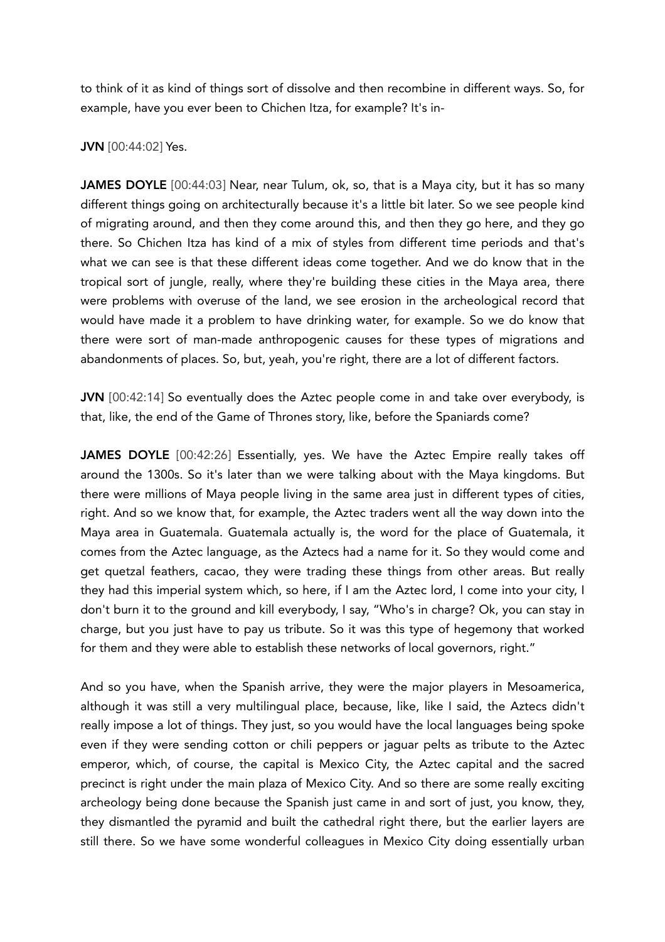to think of it as kind of things sort of dissolve and then recombine in different ways. So, for example, have you ever been to Chichen Itza, for example? It's in-

## JVN [00:44:02] Yes.

JAMES DOYLE [00:44:03] Near, near Tulum, ok, so, that is a Maya city, but it has so many different things going on architecturally because it's a little bit later. So we see people kind of migrating around, and then they come around this, and then they go here, and they go there. So Chichen Itza has kind of a mix of styles from different time periods and that's what we can see is that these different ideas come together. And we do know that in the tropical sort of jungle, really, where they're building these cities in the Maya area, there were problems with overuse of the land, we see erosion in the archeological record that would have made it a problem to have drinking water, for example. So we do know that there were sort of man-made anthropogenic causes for these types of migrations and abandonments of places. So, but, yeah, you're right, there are a lot of different factors.

JVN [00:42:14] So eventually does the Aztec people come in and take over everybody, is that, like, the end of the Game of Thrones story, like, before the Spaniards come?

JAMES DOYLE [00:42:26] Essentially, yes. We have the Aztec Empire really takes off around the 1300s. So it's later than we were talking about with the Maya kingdoms. But there were millions of Maya people living in the same area just in different types of cities, right. And so we know that, for example, the Aztec traders went all the way down into the Maya area in Guatemala. Guatemala actually is, the word for the place of Guatemala, it comes from the Aztec language, as the Aztecs had a name for it. So they would come and get quetzal feathers, cacao, they were trading these things from other areas. But really they had this imperial system which, so here, if I am the Aztec lord, I come into your city, I don't burn it to the ground and kill everybody, I say, "Who's in charge? Ok, you can stay in charge, but you just have to pay us tribute. So it was this type of hegemony that worked for them and they were able to establish these networks of local governors, right."

And so you have, when the Spanish arrive, they were the major players in Mesoamerica, although it was still a very multilingual place, because, like, like I said, the Aztecs didn't really impose a lot of things. They just, so you would have the local languages being spoke even if they were sending cotton or chili peppers or jaguar pelts as tribute to the Aztec emperor, which, of course, the capital is Mexico City, the Aztec capital and the sacred precinct is right under the main plaza of Mexico City. And so there are some really exciting archeology being done because the Spanish just came in and sort of just, you know, they, they dismantled the pyramid and built the cathedral right there, but the earlier layers are still there. So we have some wonderful colleagues in Mexico City doing essentially urban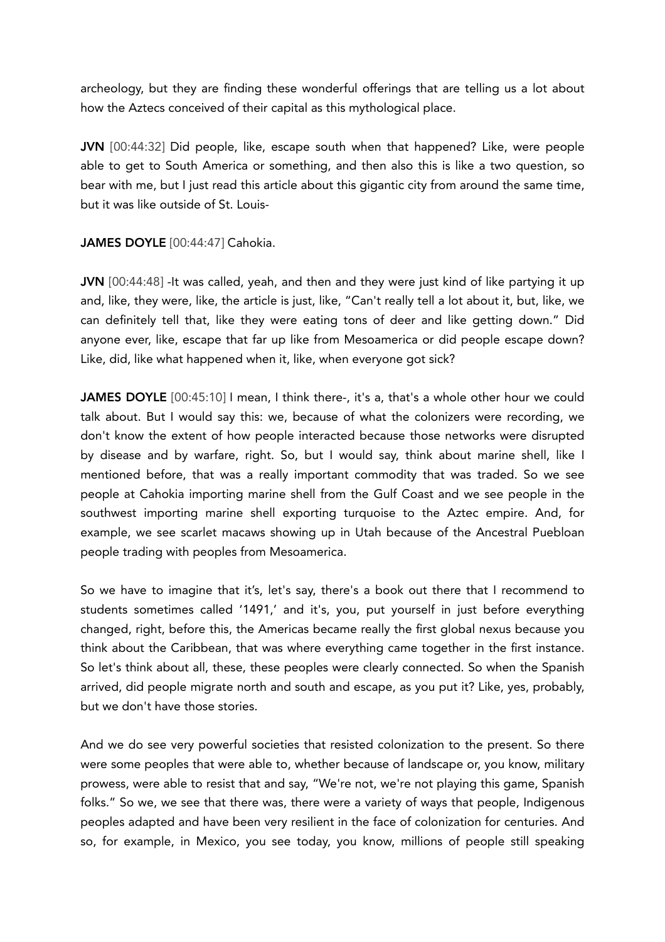archeology, but they are finding these wonderful offerings that are telling us a lot about how the Aztecs conceived of their capital as this mythological place.

JVN [00:44:32] Did people, like, escape south when that happened? Like, were people able to get to South America or something, and then also this is like a two question, so bear with me, but I just read this article about this gigantic city from around the same time, but it was like outside of St. Louis-

## JAMES DOYLE [00:44:47] Cahokia.

JVN [00:44:48] -It was called, yeah, and then and they were just kind of like partying it up and, like, they were, like, the article is just, like, "Can't really tell a lot about it, but, like, we can definitely tell that, like they were eating tons of deer and like getting down." Did anyone ever, like, escape that far up like from Mesoamerica or did people escape down? Like, did, like what happened when it, like, when everyone got sick?

JAMES DOYLE [00:45:10] I mean, I think there-, it's a, that's a whole other hour we could talk about. But I would say this: we, because of what the colonizers were recording, we don't know the extent of how people interacted because those networks were disrupted by disease and by warfare, right. So, but I would say, think about marine shell, like I mentioned before, that was a really important commodity that was traded. So we see people at Cahokia importing marine shell from the Gulf Coast and we see people in the southwest importing marine shell exporting turquoise to the Aztec empire. And, for example, we see scarlet macaws showing up in Utah because of the Ancestral Puebloan people trading with peoples from Mesoamerica.

So we have to imagine that it's, let's say, there's a book out there that I recommend to students sometimes called '1491,' and it's, you, put yourself in just before everything changed, right, before this, the Americas became really the first global nexus because you think about the Caribbean, that was where everything came together in the first instance. So let's think about all, these, these peoples were clearly connected. So when the Spanish arrived, did people migrate north and south and escape, as you put it? Like, yes, probably, but we don't have those stories.

And we do see very powerful societies that resisted colonization to the present. So there were some peoples that were able to, whether because of landscape or, you know, military prowess, were able to resist that and say, "We're not, we're not playing this game, Spanish folks." So we, we see that there was, there were a variety of ways that people, Indigenous peoples adapted and have been very resilient in the face of colonization for centuries. And so, for example, in Mexico, you see today, you know, millions of people still speaking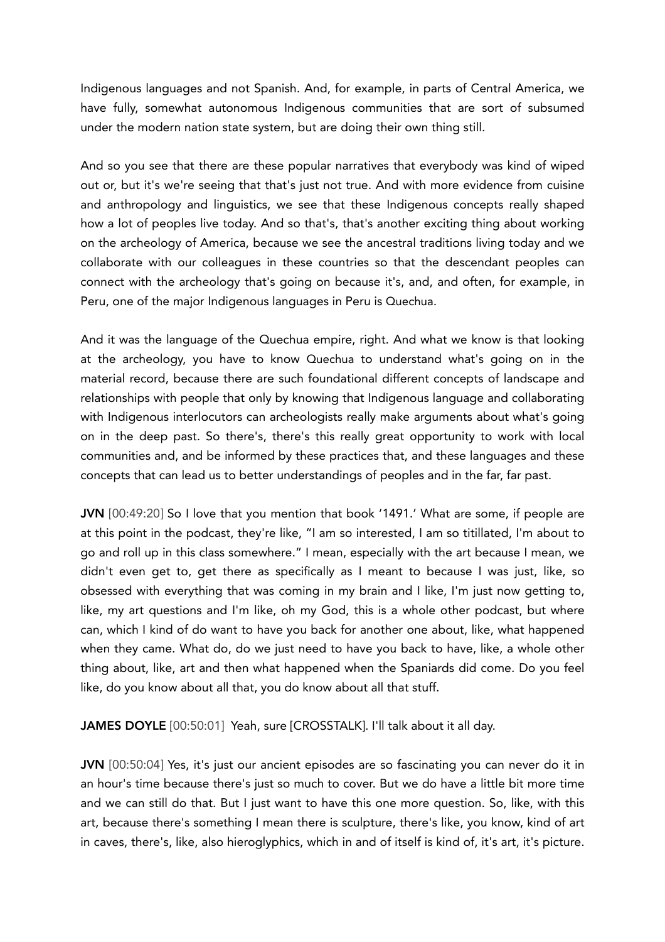Indigenous languages and not Spanish. And, for example, in parts of Central America, we have fully, somewhat autonomous Indigenous communities that are sort of subsumed under the modern nation state system, but are doing their own thing still.

And so you see that there are these popular narratives that everybody was kind of wiped out or, but it's we're seeing that that's just not true. And with more evidence from cuisine and anthropology and linguistics, we see that these Indigenous concepts really shaped how a lot of peoples live today. And so that's, that's another exciting thing about working on the archeology of America, because we see the ancestral traditions living today and we collaborate with our colleagues in these countries so that the descendant peoples can connect with the archeology that's going on because it's, and, and often, for example, in Peru, one of the major Indigenous languages in Peru is Quechua.

And it was the language of the Quechua empire, right. And what we know is that looking at the archeology, you have to know Quechua to understand what's going on in the material record, because there are such foundational different concepts of landscape and relationships with people that only by knowing that Indigenous language and collaborating with Indigenous interlocutors can archeologists really make arguments about what's going on in the deep past. So there's, there's this really great opportunity to work with local communities and, and be informed by these practices that, and these languages and these concepts that can lead us to better understandings of peoples and in the far, far past.

JVN [00:49:20] So I love that you mention that book '1491.' What are some, if people are at this point in the podcast, they're like, "I am so interested, I am so titillated, I'm about to go and roll up in this class somewhere." I mean, especially with the art because I mean, we didn't even get to, get there as specifically as I meant to because I was just, like, so obsessed with everything that was coming in my brain and I like, I'm just now getting to, like, my art questions and I'm like, oh my God, this is a whole other podcast, but where can, which I kind of do want to have you back for another one about, like, what happened when they came. What do, do we just need to have you back to have, like, a whole other thing about, like, art and then what happened when the Spaniards did come. Do you feel like, do you know about all that, you do know about all that stuff.

JAMES DOYLE [00:50:01] Yeah, sure [CROSSTALK]. I'll talk about it all day.

JVN [00:50:04] Yes, it's just our ancient episodes are so fascinating you can never do it in an hour's time because there's just so much to cover. But we do have a little bit more time and we can still do that. But I just want to have this one more question. So, like, with this art, because there's something I mean there is sculpture, there's like, you know, kind of art in caves, there's, like, also hieroglyphics, which in and of itself is kind of, it's art, it's picture.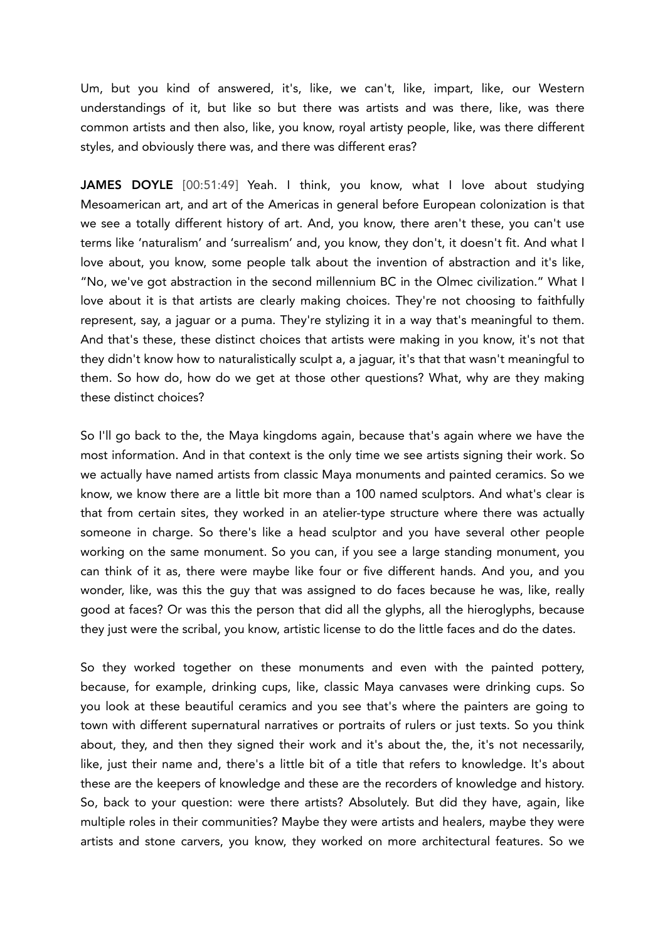Um, but you kind of answered, it's, like, we can't, like, impart, like, our Western understandings of it, but like so but there was artists and was there, like, was there common artists and then also, like, you know, royal artisty people, like, was there different styles, and obviously there was, and there was different eras?

JAMES DOYLE [00:51:49] Yeah. I think, you know, what I love about studying Mesoamerican art, and art of the Americas in general before European colonization is that we see a totally different history of art. And, you know, there aren't these, you can't use terms like 'naturalism' and 'surrealism' and, you know, they don't, it doesn't fit. And what I love about, you know, some people talk about the invention of abstraction and it's like, "No, we've got abstraction in the second millennium BC in the Olmec civilization." What I love about it is that artists are clearly making choices. They're not choosing to faithfully represent, say, a jaguar or a puma. They're stylizing it in a way that's meaningful to them. And that's these, these distinct choices that artists were making in you know, it's not that they didn't know how to naturalistically sculpt a, a jaguar, it's that that wasn't meaningful to them. So how do, how do we get at those other questions? What, why are they making these distinct choices?

So I'll go back to the, the Maya kingdoms again, because that's again where we have the most information. And in that context is the only time we see artists signing their work. So we actually have named artists from classic Maya monuments and painted ceramics. So we know, we know there are a little bit more than a 100 named sculptors. And what's clear is that from certain sites, they worked in an atelier-type structure where there was actually someone in charge. So there's like a head sculptor and you have several other people working on the same monument. So you can, if you see a large standing monument, you can think of it as, there were maybe like four or five different hands. And you, and you wonder, like, was this the guy that was assigned to do faces because he was, like, really good at faces? Or was this the person that did all the glyphs, all the hieroglyphs, because they just were the scribal, you know, artistic license to do the little faces and do the dates.

So they worked together on these monuments and even with the painted pottery, because, for example, drinking cups, like, classic Maya canvases were drinking cups. So you look at these beautiful ceramics and you see that's where the painters are going to town with different supernatural narratives or portraits of rulers or just texts. So you think about, they, and then they signed their work and it's about the, the, it's not necessarily, like, just their name and, there's a little bit of a title that refers to knowledge. It's about these are the keepers of knowledge and these are the recorders of knowledge and history. So, back to your question: were there artists? Absolutely. But did they have, again, like multiple roles in their communities? Maybe they were artists and healers, maybe they were artists and stone carvers, you know, they worked on more architectural features. So we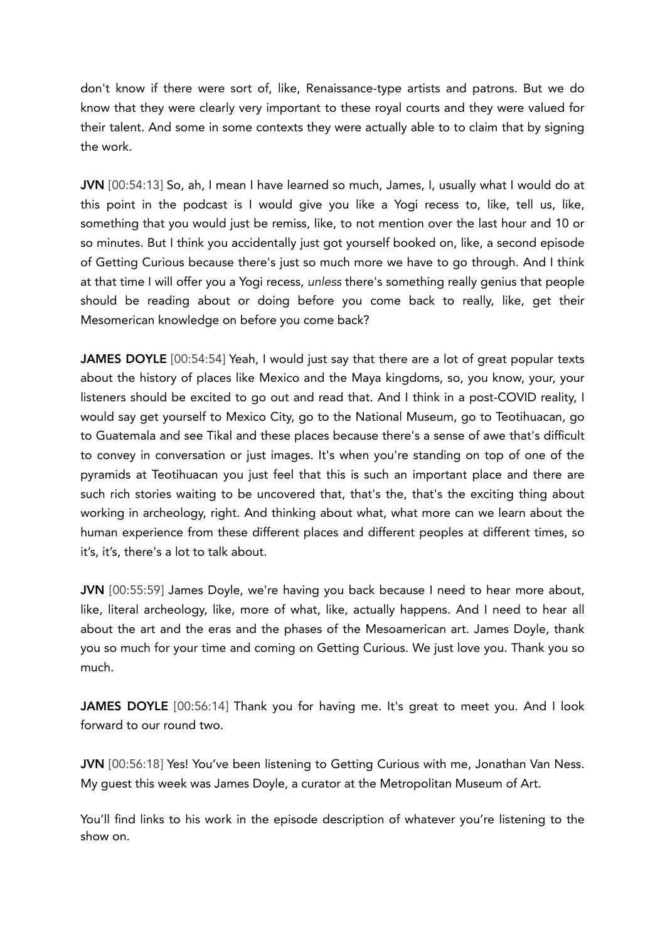don't know if there were sort of, like, Renaissance-type artists and patrons. But we do know that they were clearly very important to these royal courts and they were valued for their talent. And some in some contexts they were actually able to to claim that by signing the work.

JVN [00:54:13] So, ah, I mean I have learned so much, James, I, usually what I would do at this point in the podcast is I would give you like a Yogi recess to, like, tell us, like, something that you would just be remiss, like, to not mention over the last hour and 10 or so minutes. But I think you accidentally just got yourself booked on, like, a second episode of Getting Curious because there's just so much more we have to go through. And I think at that time I will offer you a Yogi recess, *unless* there's something really genius that people should be reading about or doing before you come back to really, like, get their Mesomerican knowledge on before you come back?

JAMES DOYLE [00:54:54] Yeah, I would just say that there are a lot of great popular texts about the history of places like Mexico and the Maya kingdoms, so, you know, your, your listeners should be excited to go out and read that. And I think in a post-COVID reality, I would say get yourself to Mexico City, go to the National Museum, go to Teotihuacan, go to Guatemala and see Tikal and these places because there's a sense of awe that's difficult to convey in conversation or just images. It's when you're standing on top of one of the pyramids at Teotihuacan you just feel that this is such an important place and there are such rich stories waiting to be uncovered that, that's the, that's the exciting thing about working in archeology, right. And thinking about what, what more can we learn about the human experience from these different places and different peoples at different times, so it's, it's, there's a lot to talk about.

JVN [00:55:59] James Doyle, we're having you back because I need to hear more about, like, literal archeology, like, more of what, like, actually happens. And I need to hear all about the art and the eras and the phases of the Mesoamerican art. James Doyle, thank you so much for your time and coming on Getting Curious. We just love you. Thank you so much.

JAMES DOYLE [00:56:14] Thank you for having me. It's great to meet you. And I look forward to our round two.

JVN [00:56:18] Yes! You've been listening to Getting Curious with me, Jonathan Van Ness. My guest this week was James Doyle, a curator at the Metropolitan Museum of Art.

You'll find links to his work in the episode description of whatever you're listening to the show on.